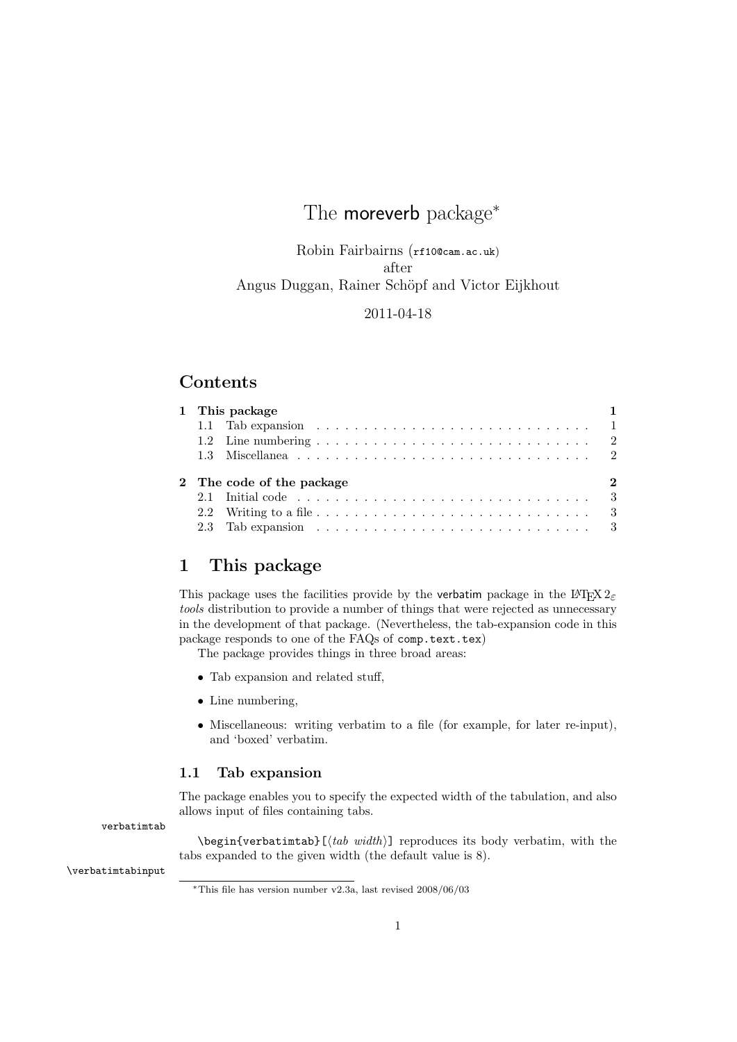# The **moreverb** package<sup>\*</sup>

Robin Fairbairns (rf10@cam.ac.uk) after Angus Duggan, Rainer Schöpf and Victor Eijkhout

### 2011-04-18

## **Contents**

| 1 This package                            |                                                                                                    |  |  |
|-------------------------------------------|----------------------------------------------------------------------------------------------------|--|--|
|                                           | 1.1 Tab expansion $\ldots \ldots \ldots \ldots \ldots \ldots \ldots \ldots \ldots \ldots \ldots 1$ |  |  |
|                                           |                                                                                                    |  |  |
|                                           |                                                                                                    |  |  |
| 2 The code of the package<br>$\mathbf{2}$ |                                                                                                    |  |  |
|                                           | 2.1 Initial code $\ldots \ldots \ldots \ldots \ldots \ldots \ldots \ldots \ldots \ldots \ldots 3$  |  |  |
|                                           |                                                                                                    |  |  |
|                                           | 2.3 Tab expansion $\ldots \ldots \ldots \ldots \ldots \ldots \ldots \ldots \ldots \ldots$          |  |  |

# 1 This package

This package uses the facilities provide by the verbatim package in the L<sup>AT</sup>EX  $2\varepsilon$ tools distribution to provide a number of things that were rejected as unnecessary in the development of that package. (Nevertheless, the tab-expansion code in this package responds to one of the FAQs of comp.text.tex)

The package provides things in three broad areas:

- Tab expansion and related stuff,
- Line numbering,
- Miscellaneous: writing verbatim to a file (for example, for later re-input), and 'boxed' verbatim.

#### 1.1 Tab expansion

The package enables you to specify the expected width of the tabulation, and also allows input of files containing tabs.

verbatimtab

\begin{verbatimtab}[ $\langle tab \ width \rangle$ ] reproduces its body verbatim, with the tabs expanded to the given width (the default value is 8).

\verbatimtabinput

 $*$ This file has version number v2.3a, last revised 2008/06/03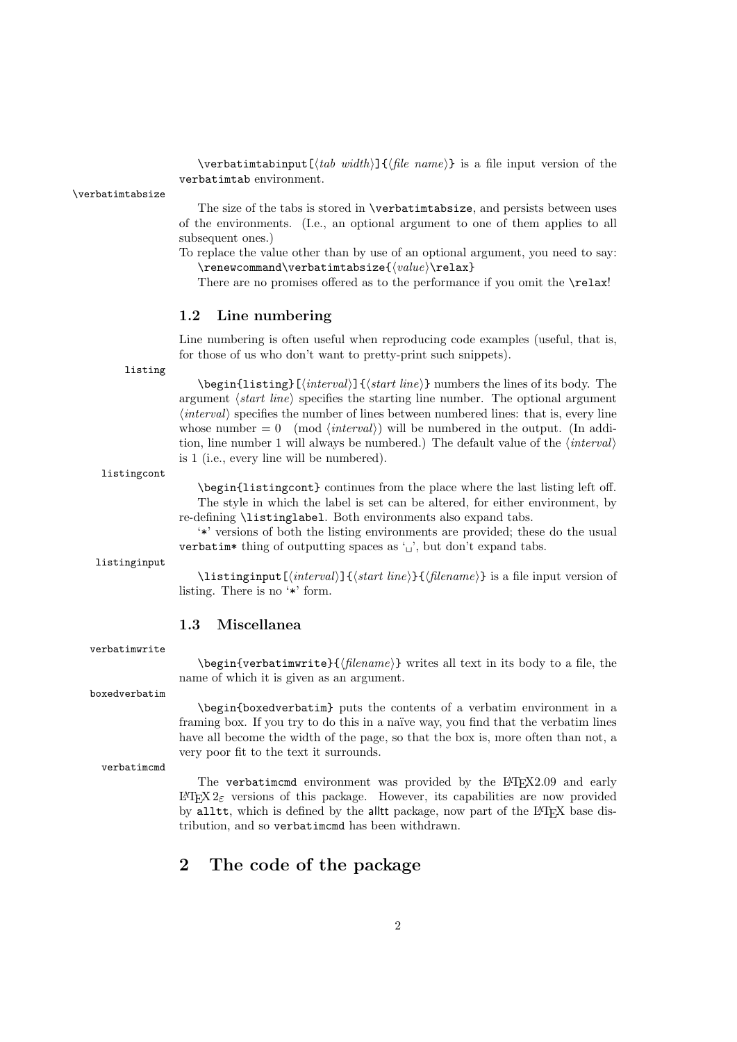\verbatimtabinput[ $\langle tab \ width \rangle$ ]{ $\langle file \ name \rangle$ } is a file input version of the verbatimtab environment.

\verbatimtabsize

The size of the tabs is stored in \verbatimtabsize, and persists between uses of the environments. (I.e., an optional argument to one of them applies to all subsequent ones.)

To replace the value other than by use of an optional argument, you need to say:  $\rm$  \renewcommand\verbatimtabsize{ $\{value\}\$ 

There are no promises offered as to the performance if you omit the **\relax!** 

#### 1.2 Line numbering

Line numbering is often useful when reproducing code examples (useful, that is, for those of us who don't want to pretty-print such snippets).

listing

 $\begin{equation*}$  \begin{listing}[ $\langle interval \rangle$ ]{ $\langle start \ line \rangle$ } numbers the lines of its body. The argument  $\langle start\ line\rangle$  specifies the starting line number. The optional argument  $\langle interval \rangle$  specifies the number of lines between numbered lines: that is, every line whose number  $= 0 \pmod{interval}$  will be numbered in the output. (In addition, line number 1 will always be numbered.) The default value of the  $\langle interval \rangle$ is 1 (i.e., every line will be numbered).

listingcont

\begin{listingcont} continues from the place where the last listing left off. The style in which the label is set can be altered, for either environment, by re-defining \listinglabel. Both environments also expand tabs.

'\*' versions of both the listing environments are provided; these do the usual verbatim\* thing of outputting spaces as ' $\Box$ ', but don't expand tabs.

listinginput

 $\langle$ listinginput[ $\langle interval \rangle$ ] $\langle$ start line}} $\langle$ filename}} is a file input version of listing. There is no '\*' form.

#### 1.3 Miscellanea

verbatimwrite

 $\begin{equation*} \begin{cases} \delta \text{ is a linearly equivalent to } \delta \text{ is a linearly equivalent to } \delta \text{ is a linearly equivalent to } \delta \text{ is a linearly equivalent to } \delta \text{ is a linearly equivalent to } \delta \text{ is a linearly equivalent to } \delta \text{ is a linearly equivalent to } \delta \text{ is a linearly equivalent to } \delta \text{ is a linearly equivalent to } \delta \text{ is a linearly equivalent to } \delta \text{ is a linearly equivalent to } \delta \text{ is a linearly equivalent to } \delta \text{ is a linearly equivalent to } \delta \text{ is a linearly equivalent to } \delta \text{ is a linearly equivalent to } \delta \text{ is a linearly equivalent to } \delta \text{ is a linearly equivalent to } \delta \text$ name of which it is given as an argument.

boxedverbatim

\begin{boxedverbatim} puts the contents of a verbatim environment in a framing box. If you try to do this in a naïve way, you find that the verbatim lines have all become the width of the page, so that the box is, more often than not, a very poor fit to the text it surrounds.

verbatimcmd

The verbatimcmd environment was provided by the LATFX2.09 and early LATEX 2ε versions of this package. However, its capabilities are now provided by alltt, which is defined by the alltt package, now part of the L<sup>AT</sup>EX base distribution, and so verbatimcmd has been withdrawn.

# 2 The code of the package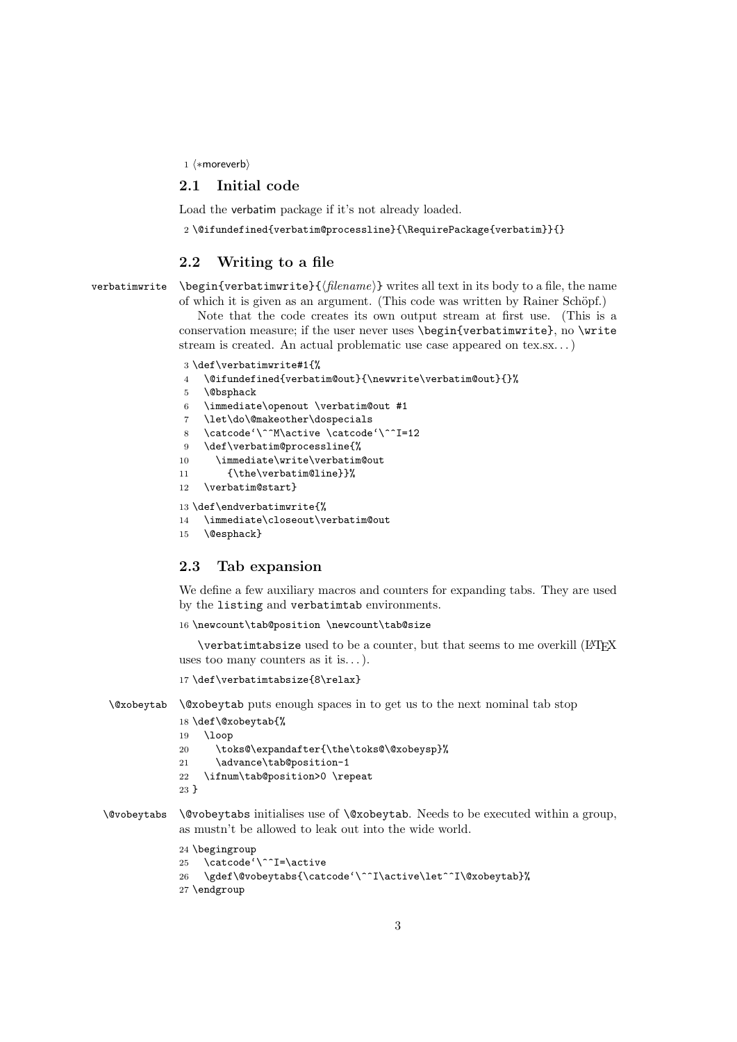1  $\langle$ \*moreverb)

#### 2.1 Initial code

Load the verbatim package if it's not already loaded.

2 \@ifundefined{verbatim@processline}{\RequirePackage{verbatim}}{}

#### 2.2 Writing to a file

verbatimwrite  $\begin{cases} {\{filename\} \} \text{ writes all text in its body to a file, the name } \end{cases}$ of which it is given as an argument. (This code was written by Rainer Schöpf.)

> Note that the code creates its own output stream at first use. (This is a conservation measure; if the user never uses \begin{verbatimwrite}, no \write stream is created. An actual problematic use case appeared on tex.sx. . . )

```
3 \def\verbatimwrite#1{%
```

```
4 \@ifundefined{verbatim@out}{\newwrite\verbatim@out}{}%
```

```
5 \@bsphack
```

```
6 \immediate\openout \verbatim@out #1
```

```
7 \let\do\@makeother\dospecials
```

```
8 \catcode'\^^M\active \catcode'\^^I=12
```
- 9 \def\verbatim@processline{%
- 10 \immediate\write\verbatim@out
- 11 {\the\verbatim@line}}%
- 12 \verbatim@start}

```
13 \def\endverbatimwrite{%
```
- 14 \immediate\closeout\verbatim@out
- 15 \@esphack}

## 2.3 Tab expansion

We define a few auxiliary macros and counters for expanding tabs. They are used by the listing and verbatimtab environments.

16 \newcount\tab@position \newcount\tab@size

\verbatimtabsize used to be a counter, but that seems to me overkill (LATEX uses too many counters as it is...).

```
17 \def\verbatimtabsize{8\relax}
```
\@xobeytab \@xobeytab puts enough spaces in to get us to the next nominal tab stop

```
18 \def\@xobeytab{%
19 \loop
20 \toks@\expandafter{\the\toks@\@xobeysp}%
21 \advance\tab@position-1
22 \ifnum\tab@position>0 \repeat
23 }
```
\@vobeytabs \@vobeytabs initialises use of \@xobeytab. Needs to be executed within a group, as mustn't be allowed to leak out into the wide world.

```
24 \begingroup
25 \catcode'\^^I=\active
26 \gdef\@vobeytabs{\catcode'\^^I\active\let^^I\@xobeytab}%
27 \endgroup
```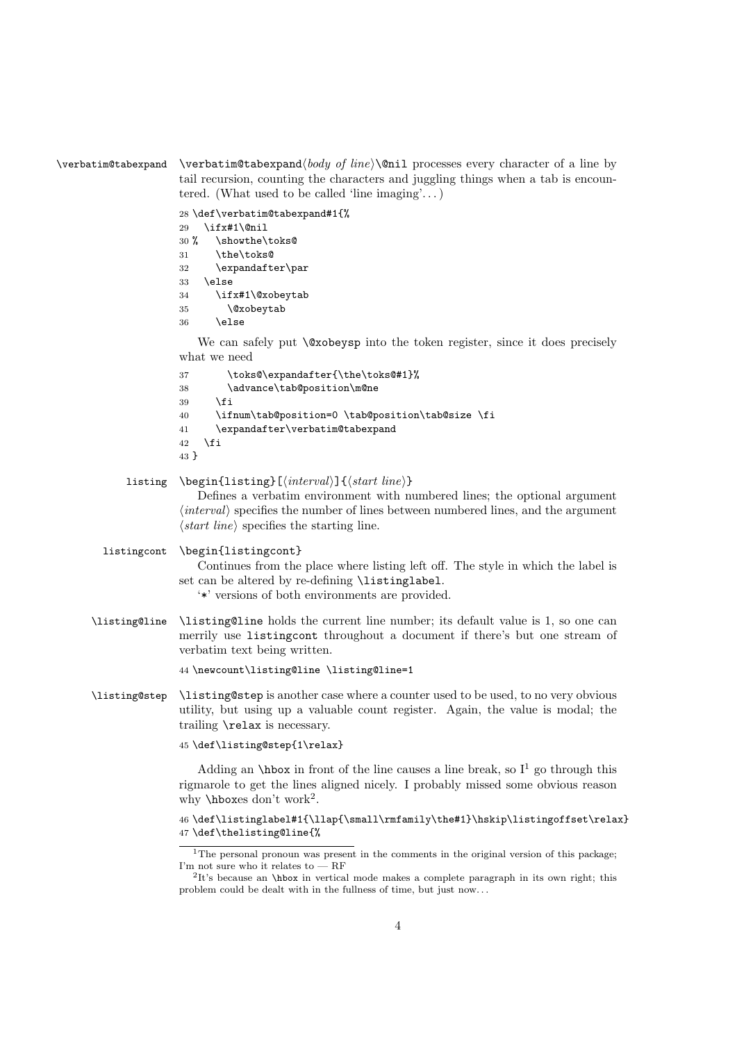#### $\verb|\verbatingtabexpand | \verb|verbatingtabexpand | body of line\\\\@ni1 processes every character of a line by$ tail recursion, counting the characters and juggling things when a tab is encountered. (What used to be called 'line imaging'...)

 \def\verbatim@tabexpand#1{% \ifx#1\@nil % \showthe\toks@ \the\toks@ \expandafter\par 33 \else \ifx#1\@xobeytab \@xobeytab  $36$  \else

We can safely put  $\&$ xobeysp into the token register, since it does precisely what we need

```
37 \toks@\expandafter{\the\toks@#1}%
38 \advance\tab@position\m@ne
39 \fi
40 \ifnum\tab@position=0 \tab@position\tab@size \fi
41 \expandafter\verbatim@tabexpand
42 \fi
43 }
```

```
listing \begin{listing}[\\anglend{interval}]{\anglend{interval}}
```
Defines a verbatim environment with numbered lines; the optional argument  $\langle interval \rangle$  specifies the number of lines between numbered lines, and the argument  $\langle start \ line \rangle$  specifies the starting line.

listingcont \begin{listingcont}

```
Continues from the place where listing left off. The style in which the label is
set can be altered by re-defining \listinglabel.
```
'\*' versions of both environments are provided.

\listing@line \listing@line holds the current line number; its default value is 1, so one can merrily use listingcont throughout a document if there's but one stream of verbatim text being written.

44 \newcount\listing@line \listing@line=1

\listing@step \listing@step is another case where a counter used to be used, to no very obvious utility, but using up a valuable count register. Again, the value is modal; the trailing \relax is necessary.

```
45 \def\listing@step{1\relax}
```
Adding an **\hbox** in front of the line causes a line break, so  $I^1$  go through this rigmarole to get the lines aligned nicely. I probably missed some obvious reason why \hboxes don't work<sup>2</sup>.

```
46 \def\listinglabel#1{\llap{\small\rmfamily\the#1}\hskip\listingoffset\relax}
47 \def\thelisting@line{%
```
<sup>&</sup>lt;sup>1</sup>The personal pronoun was present in the comments in the original version of this package; I'm not sure who it relates to — RF

<sup>&</sup>lt;sup>2</sup>It's because an **\hbox** in vertical mode makes a complete paragraph in its own right; this problem could be dealt with in the fullness of time, but just now. . .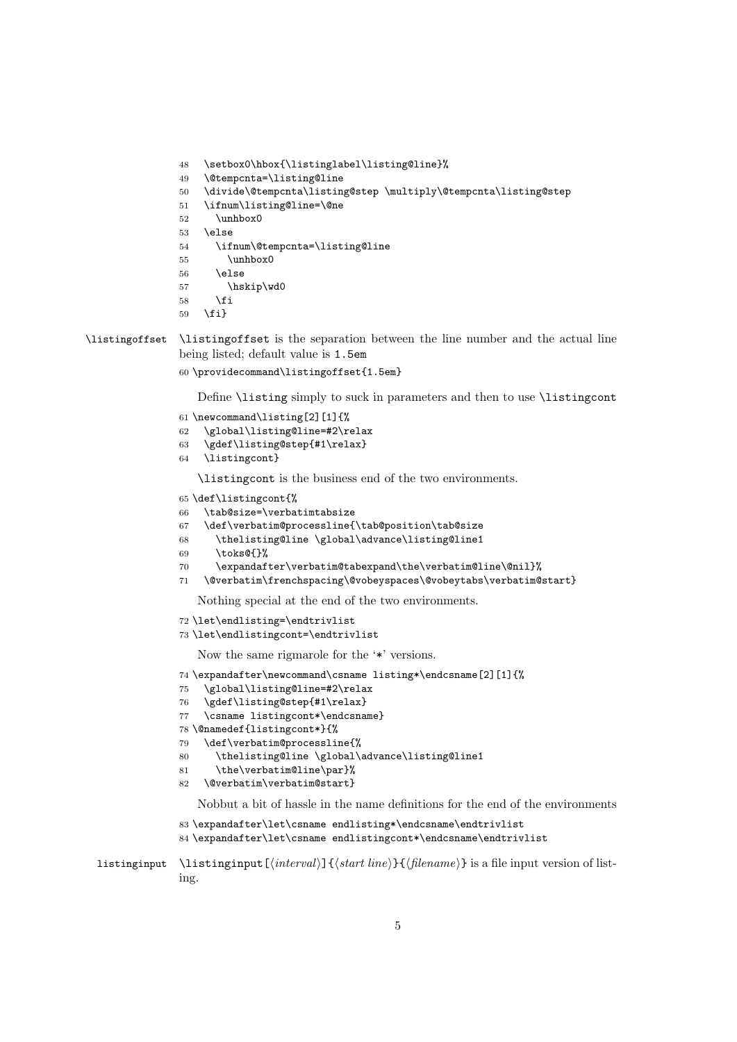```
48 \setbox0\hbox{\listinglabel\listing@line}%
49 \@tempcnta=\listing@line
```

```
50 \divide\@tempcnta\listing@step \multiply\@tempcnta\listing@step
```

```
51 \ifnum\listing@line=\@ne
```

```
52 \unhbox0
```

```
53 \else
```

```
54 \ifnum\@tempcnta=\listing@line
```
- \unhbox0
- \else
- \hskip\wd0
- $58 \text{ }$  \fi \fi}

```
\listingoffset \listingoffset is the separation between the line number and the actual line
                being listed; default value is 1.5em
```
\providecommand\listingoffset{1.5em}

Define \listing simply to suck in parameters and then to use \listingcont

```
61 \newcommand\listing[2][1]{%
```

```
62 \global\listing@line=#2\relax
```

```
63 \gdef\listing@step{#1\relax}
```

```
64 \listingcont}
```
\listingcont is the business end of the two environments.

```
65 \def\listingcont{%
```

```
66 \tab@size=\verbatimtabsize
```

```
67 \def\verbatim@processline{\tab@position\tab@size
```

```
68 \thelisting@line \global\advance\listing@line1
```

```
69 \toks@{}%
```

```
70 \expandafter\verbatim@tabexpand\the\verbatim@line\@nil}%
```
\@verbatim\frenchspacing\@vobeyspaces\@vobeytabs\verbatim@start}

Nothing special at the end of the two environments.

```
72 \let\endlisting=\endtrivlist
```

```
73 \let\endlistingcont=\endtrivlist
```
Now the same rigmarole for the '\*' versions.

```
74 \expandafter\newcommand\csname listing*\endcsname[2][1]{%
75 \global\listing@line=#2\relax
```

```
76 \gdef\listing@step{#1\relax}
```

```
77 \csname listingcont*\endcsname}
```

```
78 \@namedef{listingcont*}{%
```

```
79 \def\verbatim@processline{%
```

```
80 \thelisting@line \global\advance\listing@line1
```

```
81 \the\verbatim@line\par}%
```

```
82 \@verbatim\verbatim@start}
```
Nobbut a bit of hassle in the name definitions for the end of the environments

```
83 \expandafter\let\csname endlisting*\endcsname\endtrivlist
```

```
84 \expandafter\let\csname endlistingcont*\endcsname\endtrivlist
```

```
listinginput \left[\langle interval \rangle\right]{\langle start \ line \rangle}{\langle filename \rangle} is a file input version of list-
                     ing.
```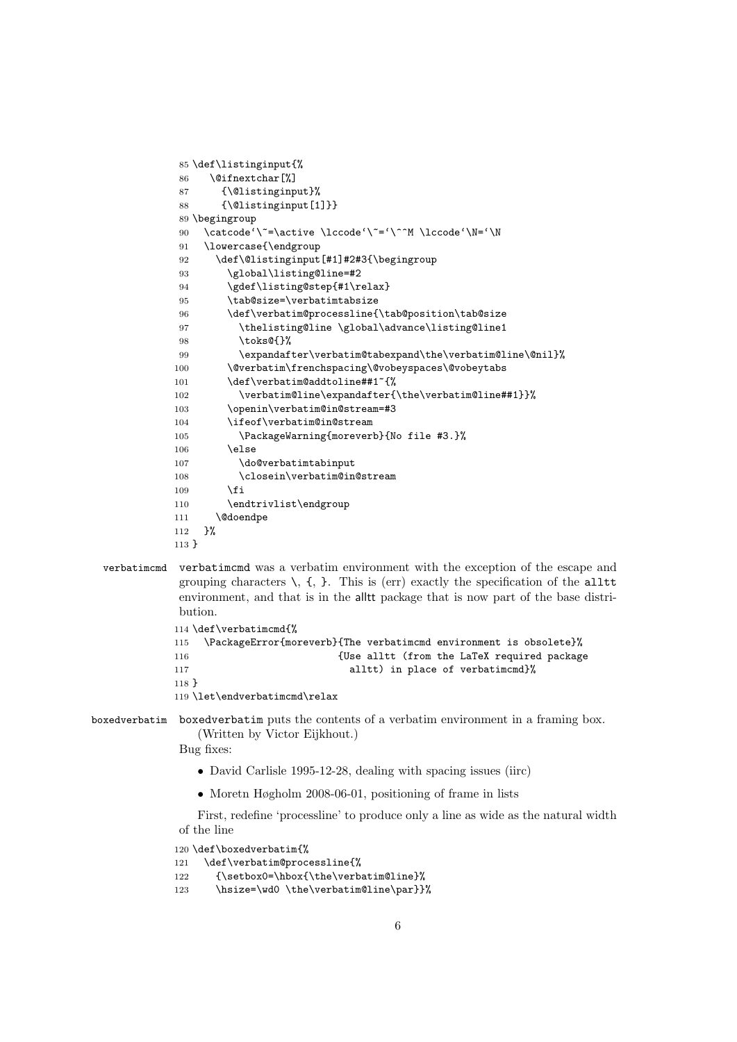```
85 \def\listinginput{%
86 \@ifnextchar[%]
87 {\@listinginput}%
88 {\@listinginput[1]}}
89 \begingroup
90 \catcode'\~=\active \lccode'\~='\^^M \lccode'\N='\N
91 \lowercase{\endgroup
92 \def\@listinginput[#1]#2#3{\begingroup
93 \global\listing@line=#2
94 \gdef\listing@step{#1\relax}
95 \tab@size=\verbatimtabsize
96 \verb+\def\verb+\verb+\cessline{\verb+\tab@position\tverb+\tab@size+97 \thelisting@line \global\advance\listing@line1
98 \toks@{}%
99 \expandafter\verbatim@tabexpand\the\verbatim@line\@nil}%
100 \@verbatim\frenchspacing\@vobeyspaces\@vobeytabs
101 \def\verbatim@addtoline##1~{%
102 \verbatim@line\expandafter{\the\verbatim@line##1}}%
103 \openin\verbatim@in@stream=#3
104 \ifeof\verbatim@in@stream
105 \PackageWarning{moreverb}{No file #3.}%
106 \else
107 \do@verbatimtabinput
108 \closein\verbatim@in@stream
109 \fi
110 \endtrivlist\endgroup
111 \@doendpe
112 }%
113 }
```
verbatimcmd verbatimcmd was a verbatim environment with the exception of the escape and grouping characters  $\setminus$ ,  $\{$ ,  $\}$ . This is (err) exactly the specification of the alltt environment, and that is in the alltt package that is now part of the base distribution. 114 \def\verbatimcmd{%

```
115 \PackageError{moreverb}{The verbatimcmd environment is obsolete}%
116 In the LaTeX required package {Use alltt (from the LaTeX required package
117 alltt) in place of verbatimcmd}%
118 }
119 \let\endverbatimcmd\relax
```
boxedverbatim boxedverbatim puts the contents of a verbatim environment in a framing box. (Written by Victor Eijkhout.)

Bug fixes:

- David Carlisle 1995-12-28, dealing with spacing issues (iirc)
- Moretn Høgholm 2008-06-01, positioning of frame in lists

First, redefine 'processline' to produce only a line as wide as the natural width of the line

```
120 \def\boxedverbatim{%
121 \def\verbatim@processline{%
122 {\setbox0=\hbox{\the\verbatim@line}%
123 \hsize=\wd0 \the\verbatim@line\par}}%
```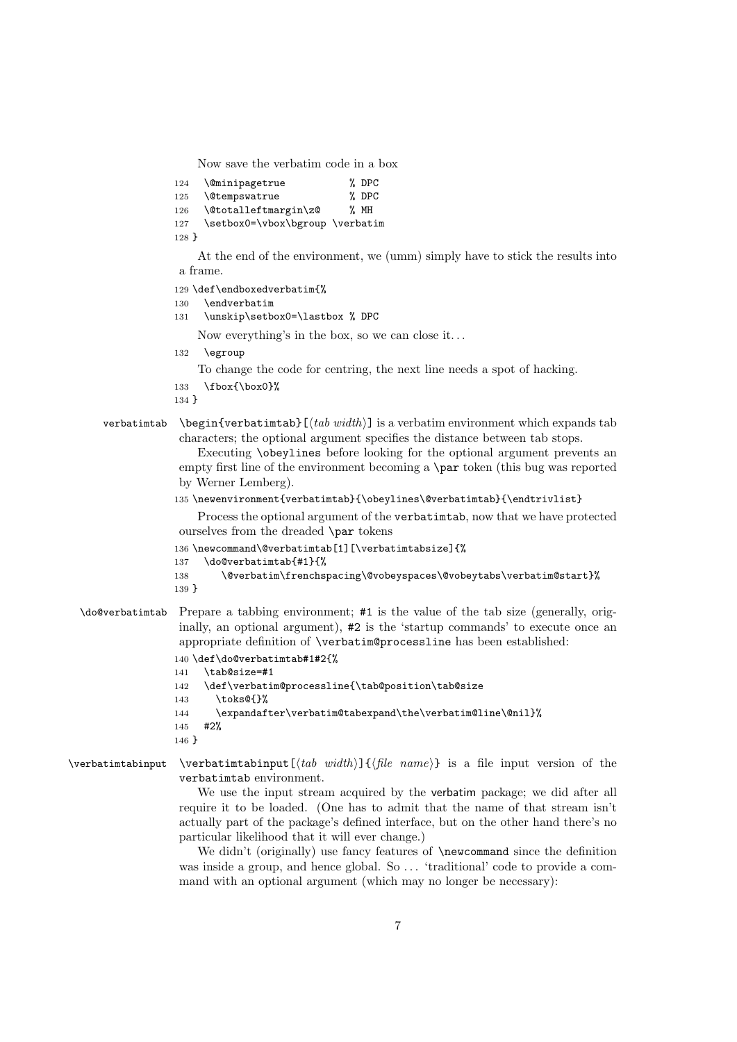Now save the verbatim code in a box

124 \@minipagetrue % DPC 125 \@tempswatrue % DPC 126 \@totalleftmargin\z@ % MH 127 \setbox0=\vbox\bgroup \verbatim 128 }

At the end of the environment, we (umm) simply have to stick the results into a frame.

129 \def\endboxedverbatim{%

```
130 \endverbatim
```
131 \unskip\setbox0=\lastbox % DPC

Now everything's in the box, so we can close it. . .

132 \egroup

To change the code for centring, the next line needs a spot of hacking.

133 \fbox{\box0}%

134 }

#### verbatimtab \begin{verbatimtab}[ $\ldots$  widtherable width] is a verbatim environment which expands tab characters; the optional argument specifies the distance between tab stops.

```
Executing \obeylines before looking for the optional argument prevents an
empty first line of the environment becoming a \par token (this bug was reported
by Werner Lemberg).
```
#### 135 \newenvironment{verbatimtab}{\obeylines\@verbatimtab}{\endtrivlist}

Process the optional argument of the verbatimtab, now that we have protected ourselves from the dreaded \par tokens

```
136 \newcommand\@verbatimtab[1][\verbatimtabsize]{%
```

```
137 \do@verbatimtab{#1}{%
```

```
138 \@verbatim\frenchspacing\@vobeyspaces\@vobeytabs\verbatim@start}%
139 }
```
\do@verbatimtab Prepare a tabbing environment; #1 is the value of the tab size (generally, originally, an optional argument), #2 is the 'startup commands' to execute once an appropriate definition of \verbatim@processline has been established:

```
140 \def\do@verbatimtab#1#2{%
```
141 \tab@size=#1

```
142 \def\verbatim@processline{\tab@position\tab@size
```
143 \toks@{}%

```
144 \expandafter\verbatim@tabexpand\the\verbatim@line\@nil}%
```

```
145 #2%
```

```
146 }
```
### \verbatimtabinput \verbatimtabinput  $[\langle tab \ width \rangle] {\langle file \ name \rangle}$  is a file input version of the verbatimtab environment.

We use the input stream acquired by the verbatim package; we did after all require it to be loaded. (One has to admit that the name of that stream isn't actually part of the package's defined interface, but on the other hand there's no particular likelihood that it will ever change.)

We didn't (originally) use fancy features of **\newcommand** since the definition was inside a group, and hence global. So ... 'traditional' code to provide a command with an optional argument (which may no longer be necessary):